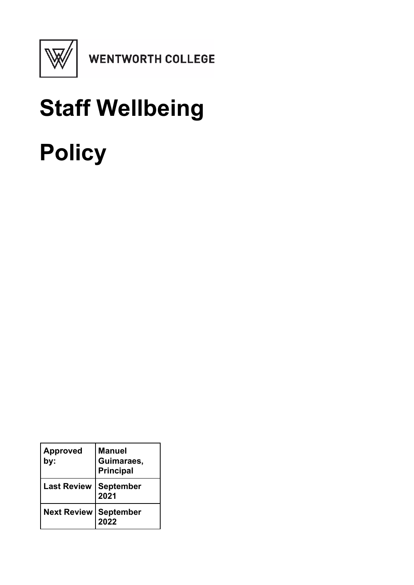

**WENTWORTH COLLEGE** 

# **Staff Wellbeing Policy**

| <b>Approved</b><br>by:         | <b>Manuel</b><br>Guimaraes,<br><b>Principal</b> |
|--------------------------------|-------------------------------------------------|
| <b>Last Review</b>             | <b>September</b><br>2021                        |
| <b>Next Review   September</b> | 2022                                            |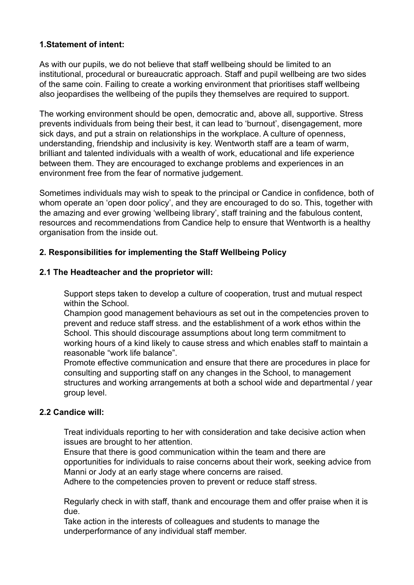## **1.Statement of intent:**

As with our pupils, we do not believe that staff wellbeing should be limited to an institutional, procedural or bureaucratic approach. Staff and pupil wellbeing are two sides of the same coin. Failing to create a working environment that prioritises staff wellbeing also jeopardises the wellbeing of the pupils they themselves are required to support.

The working environment should be open, democratic and, above all, supportive. Stress prevents individuals from being their best, it can lead to 'burnout', disengagement, more sick days, and put a strain on relationships in the workplace. A culture of openness, understanding, friendship and inclusivity is key. Wentworth staff are a team of warm, brilliant and talented individuals with a wealth of work, educational and life experience between them. They are encouraged to exchange problems and experiences in an environment free from the fear of normative judgement.

Sometimes individuals may wish to speak to the principal or Candice in confidence, both of whom operate an 'open door policy', and they are encouraged to do so. This, together with the amazing and ever growing 'wellbeing library', staff training and the fabulous content, resources and recommendations from Candice help to ensure that Wentworth is a healthy organisation from the inside out.

# **2. Responsibilities for implementing the Staff Wellbeing Policy**

#### **2.1 The Headteacher and the proprietor will:**

Support steps taken to develop a culture of cooperation, trust and mutual respect within the School.

Champion good management behaviours as set out in the competencies proven to prevent and reduce staff stress. and the establishment of a work ethos within the School. This should discourage assumptions about long term commitment to working hours of a kind likely to cause stress and which enables staff to maintain a reasonable "work life balance".

Promote effective communication and ensure that there are procedures in place for consulting and supporting staff on any changes in the School, to management structures and working arrangements at both a school wide and departmental / year group level.

#### **2.2 Candice will:**

Treat individuals reporting to her with consideration and take decisive action when issues are brought to her attention.

Ensure that there is good communication within the team and there are opportunities for individuals to raise concerns about their work, seeking advice from Manni or Jody at an early stage where concerns are raised.

Adhere to the competencies proven to prevent or reduce staff stress.

Regularly check in with staff, thank and encourage them and offer praise when it is due.

Take action in the interests of colleagues and students to manage the underperformance of any individual staff member.